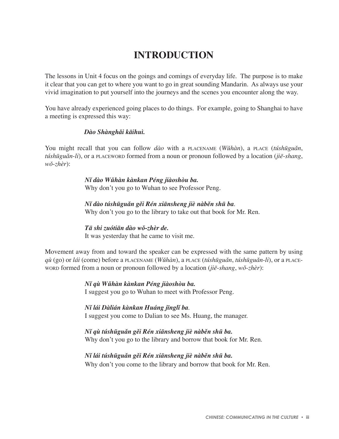# **INTRODUCTION**

The lessons in Unit 4 focus on the goings and comings of everyday life. The purpose is to make it clear that you can get to where you want to go in great sounding Mandarin. As always use your vivid imagination to put yourself into the journeys and the scenes you encounter along the way.

You have already experienced going places to do things. For example, going to Shanghai to have a meeting is expressed this way:

# *Dào Shànghâi käihuì.*

You might recall that you can follow *dào* with a PLACENAME (*Wûhàn*), a PLACE (*túshüguân*, *túshüguân*-*li*), or a PLACEWORD formed from a noun or pronoun followed by a location (*jië*-*shang*, *wô*-*zhèr*):

> *Nî dào Wûhàn kànkan Péng jiàoshòu ba.* Why don't you go to Wuhan to see Professor Peng.

 *Nî dào túshüguân gêi Rén xiänsheng jiè nàbên shü ba*. Why don't you go to the library to take out that book for Mr. Ren.

# *Tä shi zuótiän dào wô-zhèr de.*

It was yesterday that he came to visit me.

Movement away from and toward the speaker can be expressed with the same pattern by using *qù* (go) or *lái* (come) before a PLACENAME (*Wûhàn*), a PLACE (*túshüguân*, *túshüguân*-*li*), or a PLACE-WORD formed from a noun or pronoun followed by a location (*jië*-*shang*, *wô*-*zhèr*):

> *Nî qù Wûhàn kànkan Péng jiàoshòu ba.* I suggest you go to Wuhan to meet with Professor Peng.

 *Nî lái Dàlián kànkan Huáng jïnglî ba*. I suggest you come to Dalian to see Ms. Huang, the manager.

### *Nî qù túshüguân gêi Rén xiänsheng jiè nàbên shü ba.*

Why don't you go to the library and borrow that book for Mr. Ren.

# *Nî lái túshüguân gêi Rén xiänsheng jiè nàbên shü ba.*

Why don't you come to the library and borrow that book for Mr. Ren.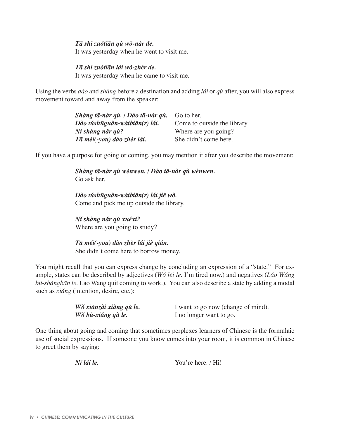#### *Tä shi zuótiän qù wô-nàr de.*

It was yesterday when he went to visit me.

#### *Tä shi zuótiän lái wô-zhèr de.*

It was yesterday when he came to visit me.

Using the verbs *dào* and *shàng* before a destination and adding *lái* or *qù* after, you will also express movement toward and away from the speaker:

| Shàng tā-nàr qù. / Dào tā-nàr qù. | Go to her.                   |
|-----------------------------------|------------------------------|
| Dào túshūguǎn-wàibiān(r) lái.     | Come to outside the library. |
| Ní shàng năr gù?                  | Where are you going?         |
| Tā méi(-you) dào zhèr lái.        | She didn't come here.        |

If you have a purpose for going or coming, you may mention it after you describe the movement:

 *Shàng tä-nàr qù wènwen. / Dào tä-nàr qù wènwen.* Go ask her.

 *Dào túshüguân-wàibiän(r) lái jië wô.* Come and pick me up outside the library.

 *Nî shàng nâr qù xuéxí?* Where are you going to study?

 *Tä méi(-you) dào zhèr lái jiè qián.* She didn't come here to borrow money.

You might recall that you can express change by concluding an expression of a "state." For example, states can be described by adjectives (*Wô lèi le*. I'm tired now.) and negatives (*Lâo Wáng bú-shàngbän le*. Lao Wang quit coming to work.). You can also describe a state by adding a modal such as *xiǎng* (intention, desire, etc.):

| Wǒ xiànzài xiǎng qù le. | I want to go now (change of mind). |
|-------------------------|------------------------------------|
| Wǒ bù-xiǎng qù le.      | I no longer want to go.            |

One thing about going and coming that sometimes perplexes learners of Chinese is the formulaic use of social expressions. If someone you know comes into your room, it is common in Chinese to greet them by saying:

*Nî lái le.* You're here. / Hi!